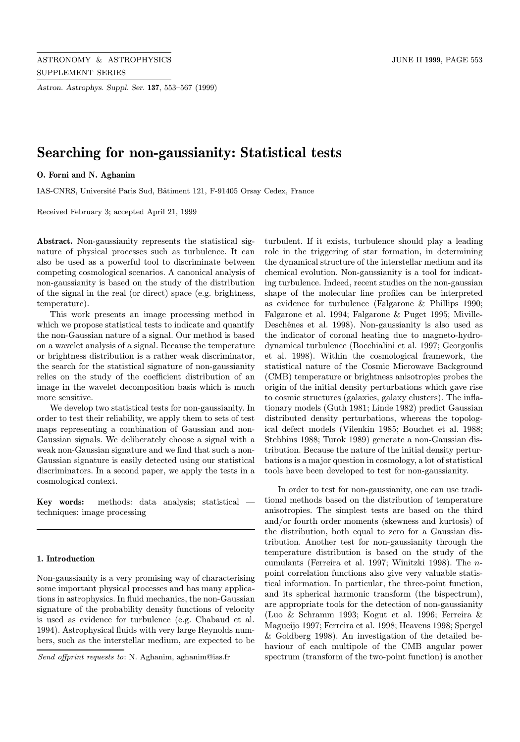Astron. Astrophys. Suppl. Ser. 137, 553–567 (1999)

# Searching for non-gaussianity: Statistical tests

# O. Forni and N. Aghanim

IAS-CNRS, Université Paris Sud, Bâtiment 121, F-91405 Orsay Cedex, France

Received February 3; accepted April 21, 1999

Abstract. Non-gaussianity represents the statistical signature of physical processes such as turbulence. It can also be used as a powerful tool to discriminate between competing cosmological scenarios. A canonical analysis of non-gaussianity is based on the study of the distribution of the signal in the real (or direct) space (e.g. brightness, temperature).

This work presents an image processing method in which we propose statistical tests to indicate and quantify the non-Gaussian nature of a signal. Our method is based on a wavelet analysis of a signal. Because the temperature or brightness distribution is a rather weak discriminator, the search for the statistical signature of non-gaussianity relies on the study of the coefficient distribution of an image in the wavelet decomposition basis which is much more sensitive.

We develop two statistical tests for non-gaussianity. In order to test their reliability, we apply them to sets of test maps representing a combination of Gaussian and non-Gaussian signals. We deliberately choose a signal with a weak non-Gaussian signature and we find that such a non-Gaussian signature is easily detected using our statistical discriminators. In a second paper, we apply the tests in a cosmological context.

Key words: methods: data analysis; statistical techniques: image processing

### 1. Introduction

Non-gaussianity is a very promising way of characterising some important physical processes and has many applications in astrophysics. In fluid mechanics, the non-Gaussian signature of the probability density functions of velocity is used as evidence for turbulence (e.g. Chabaud et al. 1994). Astrophysical fluids with very large Reynolds numbers, such as the interstellar medium, are expected to be turbulent. If it exists, turbulence should play a leading role in the triggering of star formation, in determining the dynamical structure of the interstellar medium and its chemical evolution. Non-gaussianity is a tool for indicating turbulence. Indeed, recent studies on the non-gaussian shape of the molecular line profiles can be interpreted as evidence for turbulence (Falgarone & Phillips 1990; Falgarone et al. 1994; Falgarone & Puget 1995; Miville-Deschênes et al. 1998). Non-gaussianity is also used as the indicator of coronal heating due to magneto-hydrodynamical turbulence (Bocchialini et al. 1997; Georgoulis et al. 1998). Within the cosmological framework, the statistical nature of the Cosmic Microwave Background (CMB) temperature or brightness anisotropies probes the origin of the initial density perturbations which gave rise to cosmic structures (galaxies, galaxy clusters). The inflationary models (Guth 1981; Linde 1982) predict Gaussian distributed density perturbations, whereas the topological defect models (Vilenkin 1985; Bouchet et al. 1988; Stebbins 1988; Turok 1989) generate a non-Gaussian distribution. Because the nature of the initial density perturbations is a major question in cosmology, a lot of statistical tools have been developed to test for non-gaussianity.

In order to test for non-gaussianity, one can use traditional methods based on the distribution of temperature anisotropies. The simplest tests are based on the third and/or fourth order moments (skewness and kurtosis) of the distribution, both equal to zero for a Gaussian distribution. Another test for non-gaussianity through the temperature distribution is based on the study of the cumulants (Ferreira et al. 1997; Winitzki 1998). The npoint correlation functions also give very valuable statistical information. In particular, the three-point function, and its spherical harmonic transform (the bispectrum), are appropriate tools for the detection of non-gaussianity (Luo & Schramm 1993; Kogut et al. 1996; Ferreira & Magueijo 1997; Ferreira et al. 1998; Heavens 1998; Spergel & Goldberg 1998). An investigation of the detailed behaviour of each multipole of the CMB angular power spectrum (transform of the two-point function) is another

Send offprint requests to: N. Aghanim, aghanim@ias.fr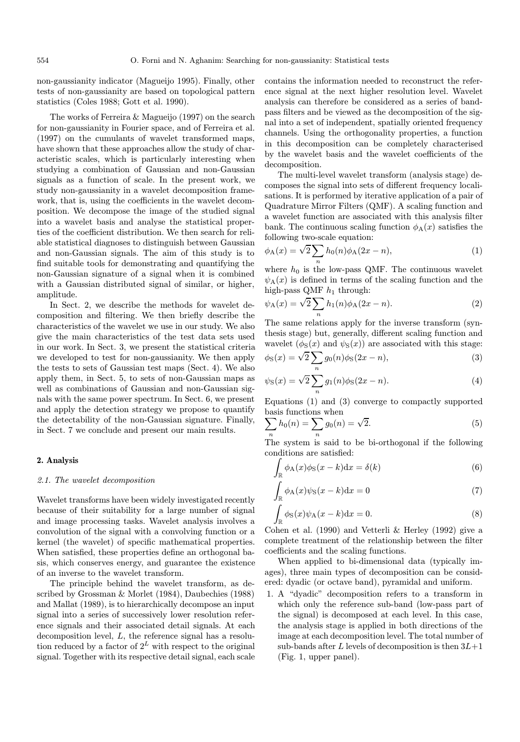non-gaussianity indicator (Magueijo 1995). Finally, other tests of non-gaussianity are based on topological pattern statistics (Coles 1988; Gott et al. 1990).

The works of Ferreira & Magueijo (1997) on the search for non-gaussianity in Fourier space, and of Ferreira et al. (1997) on the cumulants of wavelet transformed maps, have shown that these approaches allow the study of characteristic scales, which is particularly interesting when studying a combination of Gaussian and non-Gaussian signals as a function of scale. In the present work, we study non-gaussianity in a wavelet decomposition framework, that is, using the coefficients in the wavelet decomposition. We decompose the image of the studied signal into a wavelet basis and analyse the statistical properties of the coefficient distribution. We then search for reliable statistical diagnoses to distinguish between Gaussian and non-Gaussian signals. The aim of this study is to find suitable tools for demonstrating and quantifying the non-Gaussian signature of a signal when it is combined with a Gaussian distributed signal of similar, or higher, amplitude.

In Sect. 2, we describe the methods for wavelet decomposition and filtering. We then briefly describe the characteristics of the wavelet we use in our study. We also give the main characteristics of the test data sets used in our work. In Sect. 3, we present the statistical criteria we developed to test for non-gaussianity. We then apply the tests to sets of Gaussian test maps (Sect. 4). We also apply them, in Sect. 5, to sets of non-Gaussian maps as well as combinations of Gaussian and non-Gaussian signals with the same power spectrum. In Sect. 6, we present and apply the detection strategy we propose to quantify the detectability of the non-Gaussian signature. Finally, in Sect. 7 we conclude and present our main results.

# 2. Analysis

# 2.1. The wavelet decomposition

Wavelet transforms have been widely investigated recently because of their suitability for a large number of signal and image processing tasks. Wavelet analysis involves a convolution of the signal with a convolving function or a kernel (the wavelet) of specific mathematical properties. When satisfied, these properties define an orthogonal basis, which conserves energy, and guarantee the existence of an inverse to the wavelet transform.

The principle behind the wavelet transform, as described by Grossman & Morlet (1984), Daubechies (1988) and Mallat (1989), is to hierarchically decompose an input signal into a series of successively lower resolution reference signals and their associated detail signals. At each decomposition level, L, the reference signal has a resolution reduced by a factor of  $2^L$  with respect to the original signal. Together with its respective detail signal, each scale contains the information needed to reconstruct the reference signal at the next higher resolution level. Wavelet analysis can therefore be considered as a series of bandpass filters and be viewed as the decomposition of the signal into a set of independent, spatially oriented frequency channels. Using the orthogonality properties, a function in this decomposition can be completely characterised by the wavelet basis and the wavelet coefficients of the decomposition.

The multi-level wavelet transform (analysis stage) decomposes the signal into sets of different frequency localisations. It is performed by iterative application of a pair of Quadrature Mirror Filters (QMF). A scaling function and a wavelet function are associated with this analysis filter bank. The continuous scaling function  $\phi_{A}(x)$  satisfies the

following two-scale equation:  
\n
$$
\phi_{A}(x) = \sqrt{2} \sum_{n} h_{0}(n) \phi_{A}(2x - n),
$$
\n(1)

where  $h_0$  is the low-pass QMF. The continuous wavelet  $\psi_A(x)$  is defined in terms of the scaling function and the

high-pass QMF 
$$
h_1
$$
 through:  
\n
$$
\psi_A(x) = \sqrt{2} \sum_n h_1(n) \phi_A(2x - n).
$$
\n(2)

The same relations apply for the inverse transform (synthesis stage) but, generally, different scaling function and wavelet  $(\phi_{\rm S}(x)$  and  $\psi_{\rm S}(x)$  are associated with this stage:  $\sqrt{2}$ 

$$
\phi_{\rm S}(x) = \sqrt{2} \sum_{n} g_0(n) \phi_{\rm S}(2x - n), \tag{3}
$$

$$
\psi_{\rm S}(x) = \sqrt{2} \sum_{n=0}^{\infty} g_1(n) \phi_{\rm S}(2x - n). \tag{4}
$$

Equations (1) and (3) converge to compactly supported basis functions when

$$
\sum_{n} h_0(n) = \sum_{n} g_0(n) = \sqrt{2}.
$$
 (5)

The system is said to be bi-orthogonal if the following conditions are satisfied:

$$
\int_{\mathbb{R}} \phi_{A}(x)\phi_{S}(x-k)dx = \delta(k)
$$
\n(6)

$$
\int_{\mathbb{R}} \phi_{A}(x)\psi_{S}(x-k)dx = 0
$$
\n(7)

$$
\int_{\mathbb{R}} \phi_{\mathcal{S}}(x)\psi_{\mathcal{A}}(x-k)dx = 0.
$$
\n(8)

Cohen et al. (1990) and Vetterli & Herley (1992) give a complete treatment of the relationship between the filter coefficients and the scaling functions.

When applied to bi-dimensional data (typically images), three main types of decomposition can be considered: dyadic (or octave band), pyramidal and uniform.

1. A "dyadic" decomposition refers to a transform in which only the reference sub-band (low-pass part of the signal) is decomposed at each level. In this case, the analysis stage is applied in both directions of the image at each decomposition level. The total number of sub-bands after L levels of decomposition is then  $3L+1$ (Fig. 1, upper panel).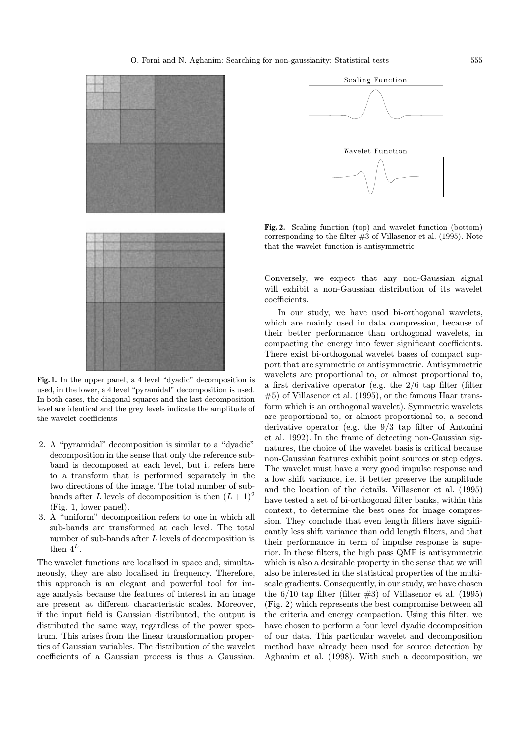

Fig. 1. In the upper panel, a 4 level "dyadic" decomposition is used, in the lower, a 4 level "pyramidal" decomposition is used. In both cases, the diagonal squares and the last decomposition level are identical and the grey levels indicate the amplitude of the wavelet coefficients

- 2. A "pyramidal" decomposition is similar to a "dyadic" decomposition in the sense that only the reference subband is decomposed at each level, but it refers here to a transform that is performed separately in the two directions of the image. The total number of subbands after L levels of decomposition is then  $(L+1)^2$ (Fig. 1, lower panel).
- 3. A "uniform" decomposition refers to one in which all sub-bands are transformed at each level. The total number of sub-bands after L levels of decomposition is then  $4^L$ .

The wavelet functions are localised in space and, simultaneously, they are also localised in frequency. Therefore, this approach is an elegant and powerful tool for image analysis because the features of interest in an image are present at different characteristic scales. Moreover, if the input field is Gaussian distributed, the output is distributed the same way, regardless of the power spectrum. This arises from the linear transformation properties of Gaussian variables. The distribution of the wavelet coefficients of a Gaussian process is thus a Gaussian.



Fig. 2. Scaling function (top) and wavelet function (bottom) corresponding to the filter  $#3$  of Villasenor et al. (1995). Note that the wavelet function is antisymmetric

Conversely, we expect that any non-Gaussian signal will exhibit a non-Gaussian distribution of its wavelet coefficients.

In our study, we have used bi-orthogonal wavelets, which are mainly used in data compression, because of their better performance than orthogonal wavelets, in compacting the energy into fewer significant coefficients. There exist bi-orthogonal wavelet bases of compact support that are symmetric or antisymmetric. Antisymmetric wavelets are proportional to, or almost proportional to, a first derivative operator (e.g. the 2/6 tap filter (filter #5) of Villasenor et al. (1995), or the famous Haar transform which is an orthogonal wavelet). Symmetric wavelets are proportional to, or almost proportional to, a second derivative operator (e.g. the 9/3 tap filter of Antonini et al. 1992). In the frame of detecting non-Gaussian signatures, the choice of the wavelet basis is critical because non-Gaussian features exhibit point sources or step edges. The wavelet must have a very good impulse response and a low shift variance, i.e. it better preserve the amplitude and the location of the details. Villasenor et al. (1995) have tested a set of bi-orthogonal filter banks, within this context, to determine the best ones for image compression. They conclude that even length filters have significantly less shift variance than odd length filters, and that their performance in term of impulse response is superior. In these filters, the high pass QMF is antisymmetric which is also a desirable property in the sense that we will also be interested in the statistical properties of the multiscale gradients. Consequently, in our study, we have chosen the  $6/10$  tap filter (filter  $\#3$ ) of Villasenor et al. (1995) (Fig. 2) which represents the best compromise between all the criteria and energy compaction. Using this filter, we have chosen to perform a four level dyadic decomposition of our data. This particular wavelet and decomposition method have already been used for source detection by Aghanim et al. (1998). With such a decomposition, we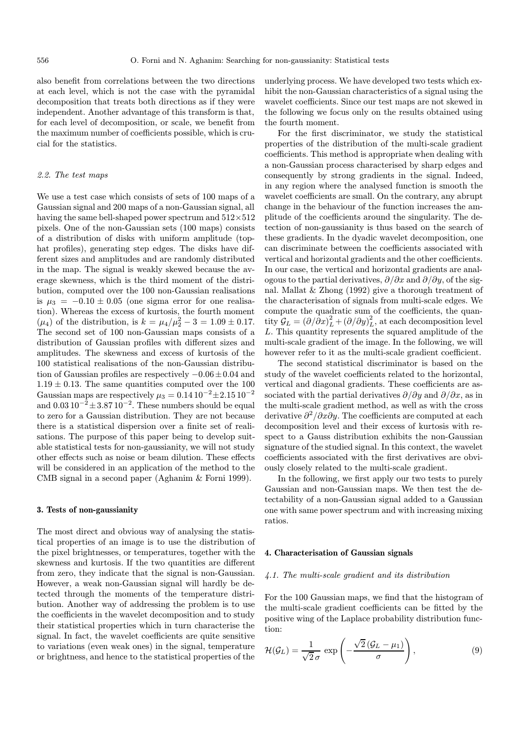also benefit from correlations between the two directions at each level, which is not the case with the pyramidal decomposition that treats both directions as if they were independent. Another advantage of this transform is that, for each level of decomposition, or scale, we benefit from the maximum number of coefficients possible, which is crucial for the statistics.

## 2.2. The test maps

We use a test case which consists of sets of 100 maps of a Gaussian signal and 200 maps of a non-Gaussian signal, all having the same bell-shaped power spectrum and  $512\times512$ pixels. One of the non-Gaussian sets (100 maps) consists of a distribution of disks with uniform amplitude (tophat profiles), generating step edges. The disks have different sizes and amplitudes and are randomly distributed in the map. The signal is weakly skewed because the average skewness, which is the third moment of the distribution, computed over the 100 non-Gaussian realisations is  $\mu_3 = -0.10 \pm 0.05$  (one sigma error for one realisation). Whereas the excess of kurtosis, the fourth moment  $(\mu_4)$  of the distribution, is  $k = \mu_4/\mu_2^2 - 3 = 1.09 \pm 0.17$ . The second set of 100 non-Gaussian maps consists of a distribution of Gaussian profiles with different sizes and amplitudes. The skewness and excess of kurtosis of the 100 statistical realisations of the non-Gaussian distribution of Gaussian profiles are respectively −0.06±0.04 and  $1.19 \pm 0.13$ . The same quantities computed over the 100 Gaussian maps are respectively  $\mu_3 = 0.14 \, 10^{-2} \pm 2.15 \, 10^{-2}$ and  $0.03 10^{-2} \pm 3.87 10^{-2}$ . These numbers should be equal to zero for a Gaussian distribution. They are not because there is a statistical dispersion over a finite set of realisations. The purpose of this paper being to develop suitable statistical tests for non-gaussianity, we will not study other effects such as noise or beam dilution. These effects will be considered in an application of the method to the CMB signal in a second paper (Aghanim & Forni 1999).

# 3. Tests of non-gaussianity

The most direct and obvious way of analysing the statistical properties of an image is to use the distribution of the pixel brightnesses, or temperatures, together with the skewness and kurtosis. If the two quantities are different from zero, they indicate that the signal is non-Gaussian. However, a weak non-Gaussian signal will hardly be detected through the moments of the temperature distribution. Another way of addressing the problem is to use the coefficients in the wavelet decomposition and to study their statistical properties which in turn characterise the signal. In fact, the wavelet coefficients are quite sensitive to variations (even weak ones) in the signal, temperature or brightness, and hence to the statistical properties of the

underlying process. We have developed two tests which exhibit the non-Gaussian characteristics of a signal using the wavelet coefficients. Since our test maps are not skewed in the following we focus only on the results obtained using the fourth moment.

For the first discriminator, we study the statistical properties of the distribution of the multi-scale gradient coefficients. This method is appropriate when dealing with a non-Gaussian process characterised by sharp edges and consequently by strong gradients in the signal. Indeed, in any region where the analysed function is smooth the wavelet coefficients are small. On the contrary, any abrupt change in the behaviour of the function increases the amplitude of the coefficients around the singularity. The detection of non-gaussianity is thus based on the search of these gradients. In the dyadic wavelet decomposition, one can discriminate between the coefficients associated with vertical and horizontal gradients and the other coefficients. In our case, the vertical and horizontal gradients are analogous to the partial derivatives,  $\partial/\partial x$  and  $\partial/\partial y$ , of the signal. Mallat & Zhong (1992) give a thorough treatment of the characterisation of signals from multi-scale edges. We compute the quadratic sum of the coefficients, the quantity  $\mathcal{G}_L = (\partial/\partial x)^2_L + (\partial/\partial y)^2_L$ , at each decomposition level L. This quantity represents the squared amplitude of the multi-scale gradient of the image. In the following, we will however refer to it as the multi-scale gradient coefficient.

The second statistical discriminator is based on the study of the wavelet coefficients related to the horizontal, vertical and diagonal gradients. These coefficients are associated with the partial derivatives  $\partial/\partial y$  and  $\partial/\partial x$ , as in the multi-scale gradient method, as well as with the cross derivative  $\partial^2/\partial x \partial y$ . The coefficients are computed at each decomposition level and their excess of kurtosis with respect to a Gauss distribution exhibits the non-Gaussian signature of the studied signal. In this context, the wavelet coefficients associated with the first derivatives are obviously closely related to the multi-scale gradient.

In the following, we first apply our two tests to purely Gaussian and non-Gaussian maps. We then test the detectability of a non-Gaussian signal added to a Gaussian one with same power spectrum and with increasing mixing ratios.

#### 4. Characterisation of Gaussian signals

#### 4.1. The multi-scale gradient and its distribution

For the 100 Gaussian maps, we find that the histogram of the multi-scale gradient coefficients can be fitted by the positive wing of the Laplace probability distribution function:

$$
\mathcal{H}(\mathcal{G}_L) = \frac{1}{\sqrt{2}\,\sigma} \, \exp\left(-\frac{\sqrt{2}\,(\mathcal{G}_L - \mu_1)}{\sigma}\right),\tag{9}
$$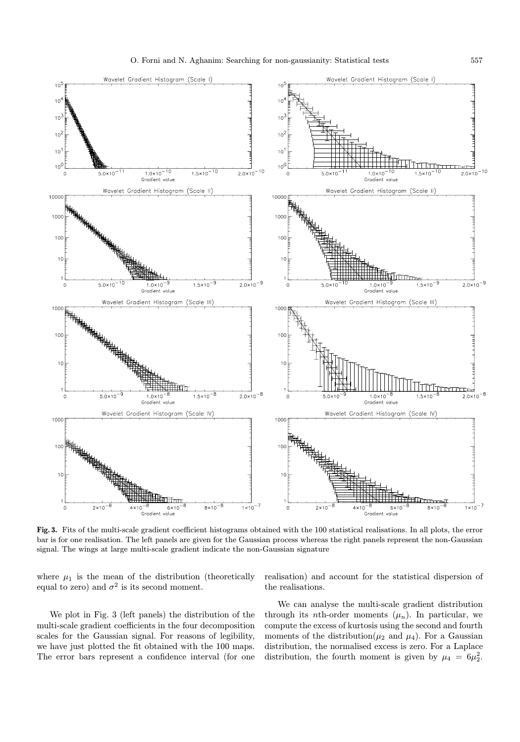

Fig. 3. Fits of the multi-scale gradient coefficient histograms obtained with the 100 statistical realisations. In all plots, the error bar is for one realisation. The left panels are given for the Gaussian process whereas the right panels represent the non-Gaussian signal. The wings at large multi-scale gradient indicate the non-Gaussian signature

where  $\mu_1$  is the mean of the distribution (theoretically equal to zero) and  $\sigma^2$  is its second moment.

realisation) and account for the statistical dispersion of the realisations.

We plot in Fig. 3 (left panels) the distribution of the multi-scale gradient coefficients in the four decomposition scales for the Gaussian signal. For reasons of legibility, we have just plotted the fit obtained with the 100 maps. The error bars represent a confidence interval (for one

We can analyse the multi-scale gradient distribution through its *n*th-order moments  $(\mu_n)$ . In particular, we compute the excess of kurtosis using the second and fourth moments of the distribution( $\mu_2$  and  $\mu_4$ ). For a Gaussian distribution, the normalised excess is zero. For a Laplace distribution, the fourth moment is given by  $\mu_4 = 6\mu_2^2$ .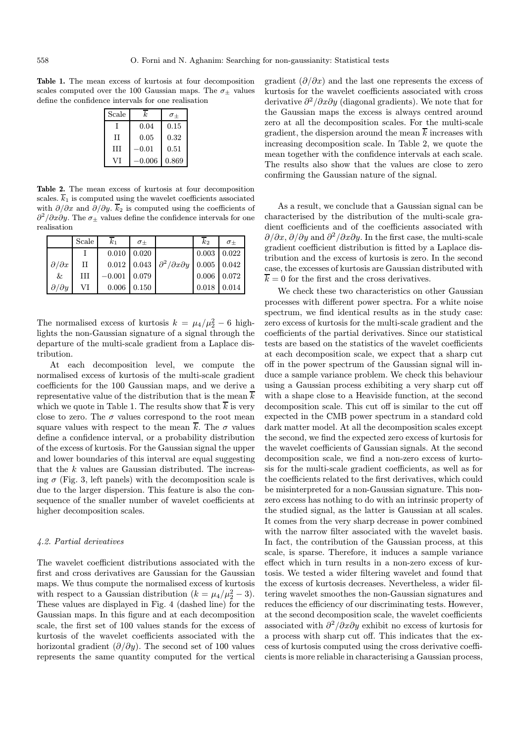Table 1. The mean excess of kurtosis at four decomposition scales computed over the 100 Gaussian maps. The  $\sigma_{+}$  values define the confidence intervals for one realisation

| Scale | k.       | $\sigma_{+}$ |
|-------|----------|--------------|
|       | 0.04     | 0.15         |
| H     | 0.05     | 0.32         |
| Ħ     | $-0.01$  | 0.51         |
|       | $-0.006$ | 0.869        |

Table 2. The mean excess of kurtosis at four decomposition scales.  $\overline{k}_1$  is computed using the wavelet coefficients associated with  $\partial/\partial x$  and  $\partial/\partial y$ .  $\overline{k}_2$  is computed using the coefficients of  $\frac{\partial^2}{\partial x \partial y}$ . The  $\sigma_{\pm}$  values define the confidence intervals for one realisation

|                       | Scale | $k_{1}$        | $\sigma_{+}$        |                                                              | $k_2$              | $\sigma_{+}$ |
|-----------------------|-------|----------------|---------------------|--------------------------------------------------------------|--------------------|--------------|
|                       |       |                | $0.010 \quad 0.020$ |                                                              | $0.003 \mid 0.022$ |              |
| $\partial/\partial x$ | H     |                |                     | $0.012$ 0.043 $\partial^2/\partial x \partial y$ 0.005 0.042 |                    |              |
| &                     | HІ    | $-0.001$ 0.079 |                     |                                                              | $0.006$ 0.072      |              |
| $\partial/\partial y$ | VI    |                | $0.006 \quad 0.150$ |                                                              | 0.018              | 0.014        |

The normalised excess of kurtosis  $k = \mu_4/\mu_2^2 - 6$  highlights the non-Gaussian signature of a signal through the departure of the multi-scale gradient from a Laplace distribution.

At each decomposition level, we compute the normalised excess of kurtosis of the multi-scale gradient coefficients for the 100 Gaussian maps, and we derive a representative value of the distribution that is the mean  $\overline{k}$ which we quote in Table 1. The results show that  $\overline{k}$  is very close to zero. The  $\sigma$  values correspond to the root mean square values with respect to the mean  $\overline{k}$ . The  $\sigma$  values define a confidence interval, or a probability distribution of the excess of kurtosis. For the Gaussian signal the upper and lower boundaries of this interval are equal suggesting that the k values are Gaussian distributed. The increasing  $\sigma$  (Fig. 3, left panels) with the decomposition scale is due to the larger dispersion. This feature is also the consequence of the smaller number of wavelet coefficients at higher decomposition scales.

#### 4.2. Partial derivatives

The wavelet coefficient distributions associated with the first and cross derivatives are Gaussian for the Gaussian maps. We thus compute the normalised excess of kurtosis with respect to a Gaussian distribution  $(k = \mu_4/\mu_2^2 - 3)$ . These values are displayed in Fig. 4 (dashed line) for the Gaussian maps. In this figure and at each decomposition scale, the first set of 100 values stands for the excess of kurtosis of the wavelet coefficients associated with the horizontal gradient  $(\partial/\partial y)$ . The second set of 100 values represents the same quantity computed for the vertical

gradient  $\left(\frac{\partial}{\partial x}\right)$  and the last one represents the excess of kurtosis for the wavelet coefficients associated with cross derivative  $\partial^2/\partial x \partial y$  (diagonal gradients). We note that for the Gaussian maps the excess is always centred around zero at all the decomposition scales. For the multi-scale gradient, the dispersion around the mean  $\overline{k}$  increases with increasing decomposition scale. In Table 2, we quote the mean together with the confidence intervals at each scale. The results also show that the values are close to zero confirming the Gaussian nature of the signal.

As a result, we conclude that a Gaussian signal can be characterised by the distribution of the multi-scale gradient coefficients and of the coefficients associated with  $\partial/\partial x$ ,  $\partial/\partial y$  and  $\partial^2/\partial x \partial y$ . In the first case, the multi-scale gradient coefficient distribution is fitted by a Laplace distribution and the excess of kurtosis is zero. In the second case, the excesses of kurtosis are Gaussian distributed with  $\overline{k} = 0$  for the first and the cross derivatives.

We check these two characteristics on other Gaussian processes with different power spectra. For a white noise spectrum, we find identical results as in the study case: zero excess of kurtosis for the multi-scale gradient and the coefficients of the partial derivatives. Since our statistical tests are based on the statistics of the wavelet coefficients at each decomposition scale, we expect that a sharp cut off in the power spectrum of the Gaussian signal will induce a sample variance problem. We check this behaviour using a Gaussian process exhibiting a very sharp cut off with a shape close to a Heaviside function, at the second decomposition scale. This cut off is similar to the cut off expected in the CMB power spectrum in a standard cold dark matter model. At all the decomposition scales except the second, we find the expected zero excess of kurtosis for the wavelet coefficients of Gaussian signals. At the second decomposition scale, we find a non-zero excess of kurtosis for the multi-scale gradient coefficients, as well as for the coefficients related to the first derivatives, which could be misinterpreted for a non-Gaussian signature. This nonzero excess has nothing to do with an intrinsic property of the studied signal, as the latter is Gaussian at all scales. It comes from the very sharp decrease in power combined with the narrow filter associated with the wavelet basis. In fact, the contribution of the Gaussian process, at this scale, is sparse. Therefore, it induces a sample variance effect which in turn results in a non-zero excess of kurtosis. We tested a wider filtering wavelet and found that the excess of kurtosis decreases. Nevertheless, a wider filtering wavelet smoothes the non-Gaussian signatures and reduces the efficiency of our discriminating tests. However, at the second decomposition scale, the wavelet coefficients associated with  $\partial^2/\partial x \partial y$  exhibit no excess of kurtosis for a process with sharp cut off. This indicates that the excess of kurtosis computed using the cross derivative coefficients is more reliable in characterising a Gaussian process,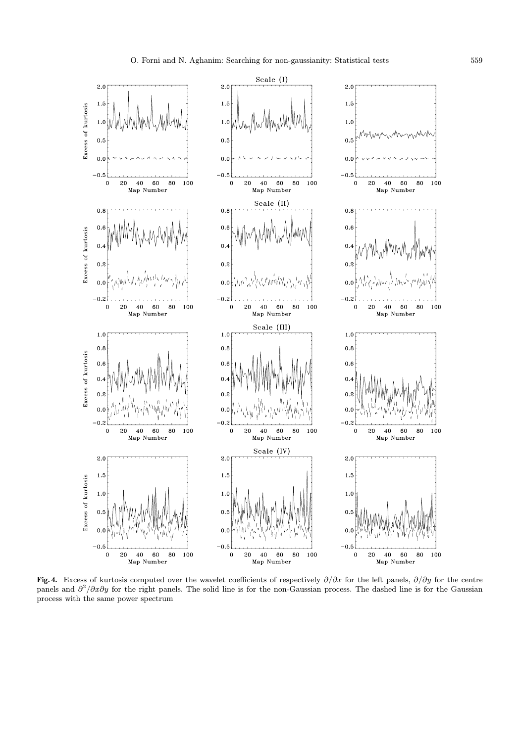

Fig. 4. Excess of kurtosis computed over the wavelet coefficients of respectively  $\partial/\partial x$  for the left panels,  $\partial/\partial y$  for the centre panels and  $\partial^2/\partial x \partial y$  for the right panels. The solid line is for the non-Gaussian process. The dashed line is for the Gaussian process with the same power spectrum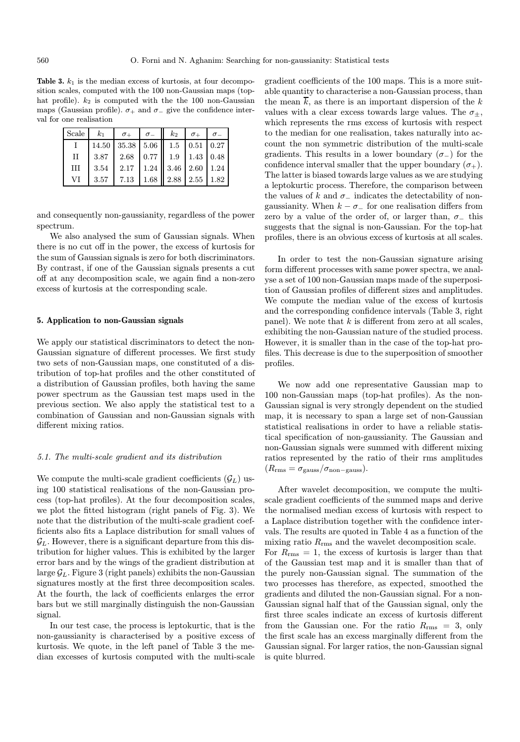Table 3.  $k_1$  is the median excess of kurtosis, at four decomposition scales, computed with the 100 non-Gaussian maps (tophat profile).  $k_2$  is computed with the the 100 non-Gaussian maps (Gaussian profile).  $\sigma_+$  and  $\sigma_-$  give the confidence interval for one realisation

| Scale | $k_1$ | $\sigma_+$ $\sigma_ k_2$ $\sigma_+$ $\sigma_-$ |  |  |
|-------|-------|------------------------------------------------|--|--|
|       |       | 14.50   35.38   5.06   1.5   0.51   0.27       |  |  |
| H     |       | $3.87$   2.68   0.77   1.9   1.43   0.48       |  |  |
| III   |       | $3.54$   2.17   1.24   3.46   2.60   1.24      |  |  |
| VI    |       | 3.57   7.13   1.68   2.88   2.55   1.82        |  |  |

and consequently non-gaussianity, regardless of the power spectrum.

We also analysed the sum of Gaussian signals. When there is no cut off in the power, the excess of kurtosis for the sum of Gaussian signals is zero for both discriminators. By contrast, if one of the Gaussian signals presents a cut off at any decomposition scale, we again find a non-zero excess of kurtosis at the corresponding scale.

## 5. Application to non-Gaussian signals

We apply our statistical discriminators to detect the non-Gaussian signature of different processes. We first study two sets of non-Gaussian maps, one constituted of a distribution of top-hat profiles and the other constituted of a distribution of Gaussian profiles, both having the same power spectrum as the Gaussian test maps used in the previous section. We also apply the statistical test to a combination of Gaussian and non-Gaussian signals with different mixing ratios.

#### 5.1. The multi-scale gradient and its distribution

We compute the multi-scale gradient coefficients  $(\mathcal{G}_L)$  using 100 statistical realisations of the non-Gaussian process (top-hat profiles). At the four decomposition scales, we plot the fitted histogram (right panels of Fig. 3). We note that the distribution of the multi-scale gradient coefficients also fits a Laplace distribution for small values of  $\mathcal{G}_L$ . However, there is a significant departure from this distribution for higher values. This is exhibited by the larger error bars and by the wings of the gradient distribution at large  $\mathcal{G}_L$ . Figure 3 (right panels) exhibits the non-Gaussian signatures mostly at the first three decomposition scales. At the fourth, the lack of coefficients enlarges the error bars but we still marginally distinguish the non-Gaussian signal.

In our test case, the process is leptokurtic, that is the non-gaussianity is characterised by a positive excess of kurtosis. We quote, in the left panel of Table 3 the median excesses of kurtosis computed with the multi-scale gradient coefficients of the 100 maps. This is a more suitable quantity to characterise a non-Gaussian process, than the mean  $\overline{k}$ , as there is an important dispersion of the k values with a clear excess towards large values. The  $\sigma_{+}$ , which represents the rms excess of kurtosis with respect to the median for one realisation, takes naturally into account the non symmetric distribution of the multi-scale gradients. This results in a lower boundary  $(\sigma_-)$  for the confidence interval smaller that the upper boundary  $(\sigma_{+})$ . The latter is biased towards large values as we are studying a leptokurtic process. Therefore, the comparison between the values of k and  $\sigma_-\$  indicates the detectability of nongaussianity. When  $k - \sigma_-\,$  for one realisation differs from zero by a value of the order of, or larger than,  $\sigma_-\$  this suggests that the signal is non-Gaussian. For the top-hat profiles, there is an obvious excess of kurtosis at all scales.

In order to test the non-Gaussian signature arising form different processes with same power spectra, we analyse a set of 100 non-Gaussian maps made of the superposition of Gaussian profiles of different sizes and amplitudes. We compute the median value of the excess of kurtosis and the corresponding confidence intervals (Table 3, right panel). We note that  $k$  is different from zero at all scales, exhibiting the non-Gaussian nature of the studied process. However, it is smaller than in the case of the top-hat profiles. This decrease is due to the superposition of smoother profiles.

We now add one representative Gaussian map to 100 non-Gaussian maps (top-hat profiles). As the non-Gaussian signal is very strongly dependent on the studied map, it is necessary to span a large set of non-Gaussian statistical realisations in order to have a reliable statistical specification of non-gaussianity. The Gaussian and non-Gaussian signals were summed with different mixing ratios represented by the ratio of their rms amplitudes  $(R_{\rm rms} = \sigma_{\rm gauss}/\sigma_{\rm non-gauss}).$ 

After wavelet decomposition, we compute the multiscale gradient coefficients of the summed maps and derive the normalised median excess of kurtosis with respect to a Laplace distribution together with the confidence intervals. The results are quoted in Table 4 as a function of the mixing ratio  $R_{\rm rms}$  and the wavelet decomposition scale. For  $R_{\rm rms} = 1$ , the excess of kurtosis is larger than that of the Gaussian test map and it is smaller than that of the purely non-Gaussian signal. The summation of the two processes has therefore, as expected, smoothed the gradients and diluted the non-Gaussian signal. For a non-Gaussian signal half that of the Gaussian signal, only the first three scales indicate an excess of kurtosis different from the Gaussian one. For the ratio  $R_{\rm rms} = 3$ , only the first scale has an excess marginally different from the Gaussian signal. For larger ratios, the non-Gaussian signal is quite blurred.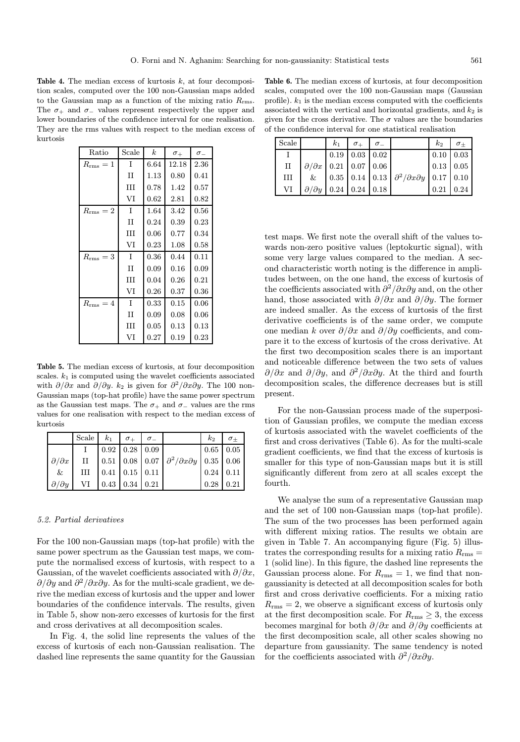Table 4. The median excess of kurtosis  $k$ , at four decomposition scales, computed over the 100 non-Gaussian maps added to the Gaussian map as a function of the mixing ratio  $R_{\rm rms}$ . The  $\sigma_+$  and  $\sigma_-$  values represent respectively the upper and lower boundaries of the confidence interval for one realisation. They are the rms values with respect to the median excess of kurtosis

| Ratio           | Scale       | $\boldsymbol{k}$ | $\sigma_{+}$ | $\sigma_{-}$ |
|-----------------|-------------|------------------|--------------|--------------|
| $R_{\rm rms}=1$ | L           | 6.64             | 12.18        | 2.36         |
|                 | $_{\rm II}$ | $1.13\,$         | 0.80         | 0.41         |
|                 | Ш           | 0.78             | 1.42         | 0.57         |
|                 | VI          | 0.62             | 2.81         | 0.82         |
| $R_{\rm rms}=2$ | I           | 1.64             | 3.42         | 0.56         |
|                 | $_{\rm II}$ | 0.24             | 0.39         | 0.23         |
|                 | Ш           | 0.06             | 0.77         | 0.34         |
|                 | VI          | 0.23             | 1.08         | 0.58         |
| $R_{\rm rms}=3$ | T           | 0.36             | 0.44         | 0.11         |
|                 | $_{\rm II}$ | 0.09             | 0.16         | 0.09         |
|                 | Ш           | 0.04             | 0.26         | 0.21         |
|                 | VI          | 0.26             | 0.37         | 0.36         |
| $R_{\rm rms}=4$ | I           | 0.33             | 0.15         | 0.06         |
|                 | $_{\rm II}$ | 0.09             | 0.08         | 0.06         |
|                 | Ш           | 0.05             | 0.13         | 0.13         |
|                 | VI          | 0.27             | 0.19         | $0.23\,$     |

Table 5. The median excess of kurtosis, at four decomposition scales.  $k_1$  is computed using the wavelet coefficients associated with  $\partial/\partial x$  and  $\partial/\partial y$ . k<sub>2</sub> is given for  $\partial^2/\partial x \partial y$ . The 100 non-Gaussian maps (top-hat profile) have the same power spectrum as the Gaussian test maps. The  $\sigma_+$  and  $\sigma_-$  values are the rms values for one realisation with respect to the median excess of kurtosis

|                       | Scale $k_1$ $\sigma_+$ $\sigma_-$         |                            |                                                                            | $k_{2}$     | $\frac{\theta}{\sigma_{\pm}}$ |
|-----------------------|-------------------------------------------|----------------------------|----------------------------------------------------------------------------|-------------|-------------------------------|
|                       |                                           | $0.92 \mid 0.28 \mid 0.09$ |                                                                            | $0.65$ 0.05 |                               |
| $\partial/\partial x$ |                                           |                            | II   0.51   0.08   0.07   $\partial^2/\partial x \partial y$   0.35   0.06 |             |                               |
| &                     |                                           | $III$ 0.41 0.15 0.11       |                                                                            |             | $0.24 \,   \, 0.11 \,   \,$   |
| $\partial/\partial y$ | VI $\vert$ 0.43 $\vert$ 0.34 $\vert$ 0.21 |                            |                                                                            | $0.28$ 0.21 |                               |

#### 5.2. Partial derivatives

For the 100 non-Gaussian maps (top-hat profile) with the same power spectrum as the Gaussian test maps, we compute the normalised excess of kurtosis, with respect to a Gaussian, of the wavelet coefficients associated with  $\partial/\partial x$ ,  $\partial/\partial y$  and  $\partial^2/\partial x \partial y$ . As for the multi-scale gradient, we derive the median excess of kurtosis and the upper and lower boundaries of the confidence intervals. The results, given in Table 5, show non-zero excesses of kurtosis for the first and cross derivatives at all decomposition scales.

In Fig. 4, the solid line represents the values of the excess of kurtosis of each non-Gaussian realisation. The dashed line represents the same quantity for the Gaussian

Table 6. The median excess of kurtosis, at four decomposition scales, computed over the 100 non-Gaussian maps (Gaussian profile).  $k_1$  is the median excess computed with the coefficients associated with the vertical and horizontal gradients, and  $k_2$  is given for the cross derivative. The  $\sigma$  values are the boundaries of the confidence interval for one statistical realisation

| Scale |                                      | $k_1$   $\sigma_+$   $\sigma_-$ |                                                               | $k_{2}$ | $\perp \sigma_{\pm}$  |
|-------|--------------------------------------|---------------------------------|---------------------------------------------------------------|---------|-----------------------|
|       |                                      | $0.19 \mid 0.03 \mid 0.02$      |                                                               |         | $0.10 \,   \, 0.03$   |
| П     | $\partial/\partial x$ 0.21 0.07 0.06 |                                 |                                                               |         | $0.13 \mid 0.05 \mid$ |
| III   |                                      |                                 | & 0.35 0.14 0.13 $\partial^2/\partial x \partial y$ 0.17 0.10 |         |                       |
| VI    | $\partial/\partial y$ 0.24 0.24 0.18 |                                 |                                                               | 0.21    | 0.24                  |

test maps. We first note the overall shift of the values towards non-zero positive values (leptokurtic signal), with some very large values compared to the median. A second characteristic worth noting is the difference in amplitudes between, on the one hand, the excess of kurtosis of the coefficients associated with  $\frac{\partial^2}{\partial x \partial y}$  and, on the other hand, those associated with  $\partial/\partial x$  and  $\partial/\partial y$ . The former are indeed smaller. As the excess of kurtosis of the first derivative coefficients is of the same order, we compute one median k over  $\partial/\partial x$  and  $\partial/\partial y$  coefficients, and compare it to the excess of kurtosis of the cross derivative. At the first two decomposition scales there is an important and noticeable difference between the two sets of values  $\partial/\partial x$  and  $\partial/\partial y$ , and  $\partial^2/\partial x \partial y$ . At the third and fourth decomposition scales, the difference decreases but is still present.

For the non-Gaussian process made of the superposition of Gaussian profiles, we compute the median excess of kurtosis associated with the wavelet coefficients of the first and cross derivatives (Table 6). As for the multi-scale gradient coefficients, we find that the excess of kurtosis is smaller for this type of non-Gaussian maps but it is still significantly different from zero at all scales except the fourth.

We analyse the sum of a representative Gaussian map and the set of 100 non-Gaussian maps (top-hat profile). The sum of the two processes has been performed again with different mixing ratios. The results we obtain are given in Table 7. An accompanying figure (Fig. 5) illustrates the corresponding results for a mixing ratio  $R_{\rm rms} =$ 1 (solid line). In this figure, the dashed line represents the Gaussian process alone. For  $R_{\rm rms} = 1$ , we find that nongaussianity is detected at all decomposition scales for both first and cross derivative coefficients. For a mixing ratio  $R_{\rm rms} = 2$ , we observe a significant excess of kurtosis only at the first decomposition scale. For  $R_{\rm rms} \geq 3$ , the excess becomes marginal for both  $\partial/\partial x$  and  $\partial/\partial y$  coefficients at the first decomposition scale, all other scales showing no departure from gaussianity. The same tendency is noted for the coefficients associated with  $\partial^2/\partial x \partial y$ .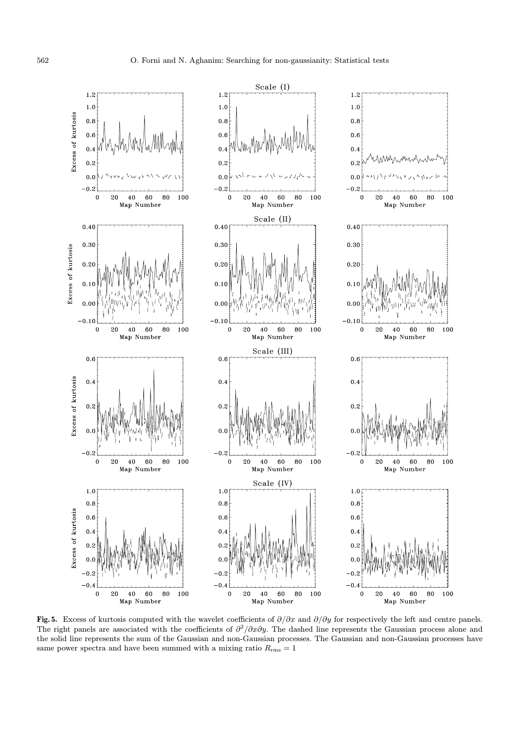

Fig. 5. Excess of kurtosis computed with the wavelet coefficients of  $\partial/\partial x$  and  $\partial/\partial y$  for respectively the left and centre panels. The right panels are associated with the coefficients of  $\partial^2/\partial x\partial y$ . The dashed line represents the Gaussian process alone and the solid line represents the sum of the Gaussian and non-Gaussian processes. The Gaussian and non-Gaussian processes have same power spectra and have been summed with a mixing ratio  $R_{\rm rms} = 1$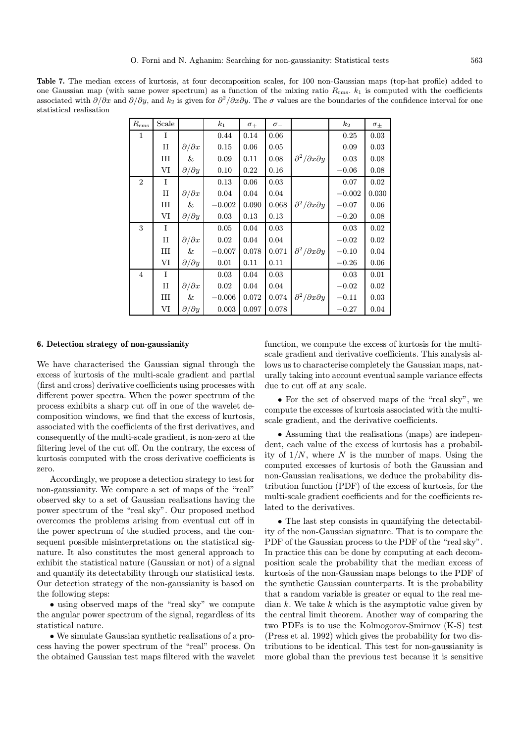Table 7. The median excess of kurtosis, at four decomposition scales, for 100 non-Gaussian maps (top-hat profile) added to one Gaussian map (with same power spectrum) as a function of the mixing ratio  $R_{\rm rms}$ .  $k_1$  is computed with the coefficients associated with  $\partial/\partial x$  and  $\partial/\partial y$ , and  $k_2$  is given for  $\partial^2/\partial x \partial y$ . The  $\sigma$  values are the boundaries of the confidence interval for one statistical realisation

| $R_{\rm rms}$               | Scale       |                       | $k_{1}$  | $\sigma_{+}$ | $\sigma$ <sub>-</sub> |                                    | $k_2$    | $\sigma_{\pm}$ |
|-----------------------------|-------------|-----------------------|----------|--------------|-----------------------|------------------------------------|----------|----------------|
| $\mathbf{1}$                | I           |                       | 0.44     | 0.14         | 0.06                  |                                    | 0.25     | 0.03           |
|                             | $_{\rm II}$ | $\partial/\partial x$ | 0.15     | 0.06         | 0.05                  |                                    | 0.09     | 0.03           |
|                             | Ш           | &                     | 0.09     | 0.11         | 0.08                  | $\partial^2/\partial x \partial y$ | 0.03     | 0.08           |
|                             | VI          | $\partial/\partial y$ | 0.10     | 0.22         | 0.16                  |                                    | $-0.06$  | 0.08           |
| $\mathcal{D}_{\mathcal{L}}$ | I           |                       | 0.13     | 0.06         | 0.03                  |                                    | 0.07     | 0.02           |
|                             | $_{\rm II}$ | $\partial/\partial x$ | 0.04     | 0.04         | 0.04                  |                                    | $-0.002$ | 0.030          |
|                             | III         | &                     | $-0.002$ | 0.090        | 0.068                 | $\partial^2/\partial x \partial y$ | $-0.07$  | 0.06           |
|                             | VI          | $\partial/\partial y$ | 0.03     | 0.13         | 0.13                  |                                    | $-0.20$  | 0.08           |
| 3                           | I           |                       | 0.05     | 0.04         | 0.03                  |                                    | 0.03     | 0.02           |
|                             | $_{\rm II}$ | $\partial/\partial x$ | 0.02     | 0.04         | 0.04                  |                                    | $-0.02$  | 0.02           |
|                             | III         | &                     | $-0.007$ | 0.078        | 0.071                 | $\partial^2/\partial x \partial y$ | $-0.10$  | 0.04           |
|                             | VI          | $\partial/\partial y$ | 0.01     | 0.11         | 0.11                  |                                    | $-0.26$  | 0.06           |
| $\overline{4}$              | I           |                       | 0.03     | 0.04         | 0.03                  |                                    | 0.03     | 0.01           |
|                             | $_{\rm II}$ | $\partial/\partial x$ | 0.02     | 0.04         | 0.04                  |                                    | $-0.02$  | 0.02           |
|                             | Ш           | &                     | $-0.006$ | 0.072        | 0.074                 | $\partial^2/\partial x \partial y$ | $-0.11$  | 0.03           |
|                             | VI          | $\partial/\partial y$ | 0.003    | 0.097        | 0.078                 |                                    | $-0.27$  | 0.04           |

## 6. Detection strategy of non-gaussianity

We have characterised the Gaussian signal through the excess of kurtosis of the multi-scale gradient and partial (first and cross) derivative coefficients using processes with different power spectra. When the power spectrum of the process exhibits a sharp cut off in one of the wavelet decomposition windows, we find that the excess of kurtosis, associated with the coefficients of the first derivatives, and consequently of the multi-scale gradient, is non-zero at the filtering level of the cut off. On the contrary, the excess of kurtosis computed with the cross derivative coefficients is zero.

Accordingly, we propose a detection strategy to test for non-gaussianity. We compare a set of maps of the "real" observed sky to a set of Gaussian realisations having the power spectrum of the "real sky". Our proposed method overcomes the problems arising from eventual cut off in the power spectrum of the studied process, and the consequent possible misinterpretations on the statistical signature. It also constitutes the most general approach to exhibit the statistical nature (Gaussian or not) of a signal and quantify its detectability through our statistical tests. Our detection strategy of the non-gaussianity is based on the following steps:

• using observed maps of the "real sky" we compute the angular power spectrum of the signal, regardless of its statistical nature.

• We simulate Gaussian synthetic realisations of a process having the power spectrum of the "real" process. On the obtained Gaussian test maps filtered with the wavelet

function, we compute the excess of kurtosis for the multiscale gradient and derivative coefficients. This analysis allows us to characterise completely the Gaussian maps, naturally taking into account eventual sample variance effects due to cut off at any scale.

• For the set of observed maps of the "real sky", we compute the excesses of kurtosis associated with the multiscale gradient, and the derivative coefficients.

• Assuming that the realisations (maps) are independent, each value of the excess of kurtosis has a probability of  $1/N$ , where N is the number of maps. Using the computed excesses of kurtosis of both the Gaussian and non-Gaussian realisations, we deduce the probability distribution function (PDF) of the excess of kurtosis, for the multi-scale gradient coefficients and for the coefficients related to the derivatives.

• The last step consists in quantifying the detectability of the non-Gaussian signature. That is to compare the PDF of the Gaussian process to the PDF of the "real sky". In practice this can be done by computing at each decomposition scale the probability that the median excess of kurtosis of the non-Gaussian maps belongs to the PDF of the synthetic Gaussian counterparts. It is the probability that a random variable is greater or equal to the real median  $k$ . We take  $k$  which is the asymptotic value given by the central limit theorem. Another way of comparing the two PDFs is to use the Kolmogorov-Smirnov (K-S) test (Press et al. 1992) which gives the probability for two distributions to be identical. This test for non-gaussianity is more global than the previous test because it is sensitive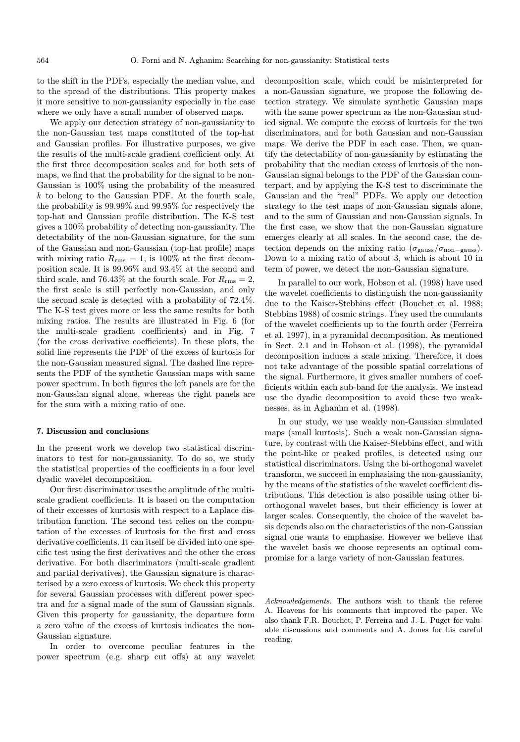to the shift in the PDFs, especially the median value, and to the spread of the distributions. This property makes it more sensitive to non-gaussianity especially in the case where we only have a small number of observed maps.

We apply our detection strategy of non-gaussianity to the non-Gaussian test maps constituted of the top-hat and Gaussian profiles. For illustrative purposes, we give the results of the multi-scale gradient coefficient only. At the first three decomposition scales and for both sets of maps, we find that the probability for the signal to be non-Gaussian is 100% using the probability of the measured  $k$  to belong to the Gaussian PDF. At the fourth scale, the probability is 99.99% and 99.95% for respectively the top-hat and Gaussian profile distribution. The K-S test gives a 100% probability of detecting non-gaussianity. The detectability of the non-Gaussian signature, for the sum of the Gaussian and non-Gaussian (top-hat profile) maps with mixing ratio  $R_{\rm rms} = 1$ , is 100% at the first decomposition scale. It is 99.96% and 93.4% at the second and third scale, and 76.43% at the fourth scale. For  $R_{\rm rms} = 2$ , the first scale is still perfectly non-Gaussian, and only the second scale is detected with a probability of 72.4%. The K-S test gives more or less the same results for both mixing ratios. The results are illustrated in Fig. 6 (for the multi-scale gradient coefficients) and in Fig. 7 (for the cross derivative coefficients). In these plots, the solid line represents the PDF of the excess of kurtosis for the non-Gaussian measured signal. The dashed line represents the PDF of the synthetic Gaussian maps with same power spectrum. In both figures the left panels are for the non-Gaussian signal alone, whereas the right panels are for the sum with a mixing ratio of one.

# 7. Discussion and conclusions

In the present work we develop two statistical discriminators to test for non-gaussianity. To do so, we study the statistical properties of the coefficients in a four level dyadic wavelet decomposition.

Our first discriminator uses the amplitude of the multiscale gradient coefficients. It is based on the computation of their excesses of kurtosis with respect to a Laplace distribution function. The second test relies on the computation of the excesses of kurtosis for the first and cross derivative coefficients. It can itself be divided into one specific test using the first derivatives and the other the cross derivative. For both discriminators (multi-scale gradient and partial derivatives), the Gaussian signature is characterised by a zero excess of kurtosis. We check this property for several Gaussian processes with different power spectra and for a signal made of the sum of Gaussian signals. Given this property for gaussianity, the departure form a zero value of the excess of kurtosis indicates the non-Gaussian signature.

In order to overcome peculiar features in the power spectrum (e.g. sharp cut offs) at any wavelet decomposition scale, which could be misinterpreted for a non-Gaussian signature, we propose the following detection strategy. We simulate synthetic Gaussian maps with the same power spectrum as the non-Gaussian studied signal. We compute the excess of kurtosis for the two discriminators, and for both Gaussian and non-Gaussian maps. We derive the PDF in each case. Then, we quantify the detectability of non-gaussianity by estimating the probability that the median excess of kurtosis of the non-Gaussian signal belongs to the PDF of the Gaussian counterpart, and by applying the K-S test to discriminate the Gaussian and the "real" PDFs. We apply our detection strategy to the test maps of non-Gaussian signals alone, and to the sum of Gaussian and non-Gaussian signals. In the first case, we show that the non-Gaussian signature emerges clearly at all scales. In the second case, the detection depends on the mixing ratio  $(\sigma_{\text{gauss}}/\sigma_{\text{non-gauss}})$ . Down to a mixing ratio of about 3, which is about 10 in term of power, we detect the non-Gaussian signature.

In parallel to our work, Hobson et al. (1998) have used the wavelet coefficients to distinguish the non-gaussianity due to the Kaiser-Stebbins effect (Bouchet et al. 1988; Stebbins 1988) of cosmic strings. They used the cumulants of the wavelet coefficients up to the fourth order (Ferreira et al. 1997), in a pyramidal decomposition. As mentioned in Sect. 2.1 and in Hobson et al. (1998), the pyramidal decomposition induces a scale mixing. Therefore, it does not take advantage of the possible spatial correlations of the signal. Furthermore, it gives smaller numbers of coefficients within each sub-band for the analysis. We instead use the dyadic decomposition to avoid these two weaknesses, as in Aghanim et al. (1998).

In our study, we use weakly non-Gaussian simulated maps (small kurtosis). Such a weak non-Gaussian signature, by contrast with the Kaiser-Stebbins effect, and with the point-like or peaked profiles, is detected using our statistical discriminators. Using the bi-orthogonal wavelet transform, we succeed in emphasising the non-gaussianity, by the means of the statistics of the wavelet coefficient distributions. This detection is also possible using other biorthogonal wavelet bases, but their efficiency is lower at larger scales. Consequently, the choice of the wavelet basis depends also on the characteristics of the non-Gaussian signal one wants to emphasise. However we believe that the wavelet basis we choose represents an optimal compromise for a large variety of non-Gaussian features.

Acknowledgements. The authors wish to thank the referee A. Heavens for his comments that improved the paper. We also thank F.R. Bouchet, P. Ferreira and J.-L. Puget for valuable discussions and comments and A. Jones for his careful reading.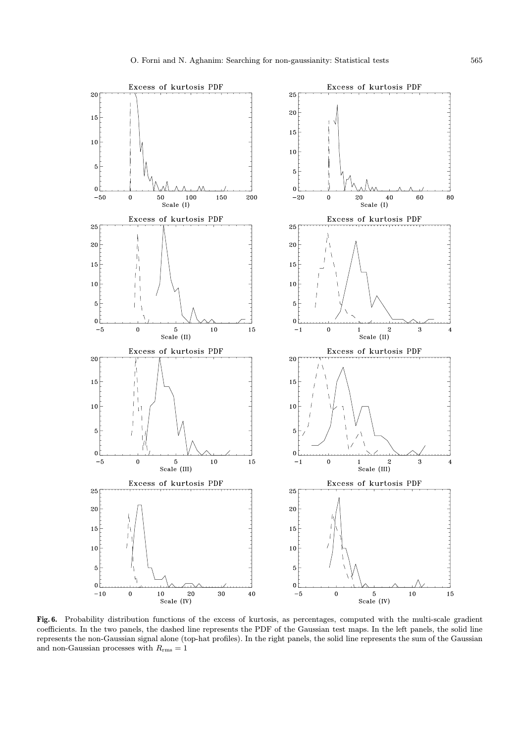

Fig. 6. Probability distribution functions of the excess of kurtosis, as percentages, computed with the multi-scale gradient coefficients. In the two panels, the dashed line represents the PDF of the Gaussian test maps. In the left panels, the solid line represents the non-Gaussian signal alone (top-hat profiles). In the right panels, the solid line represents the sum of the Gaussian and non-Gaussian processes with  $R_{\rm rms} = 1$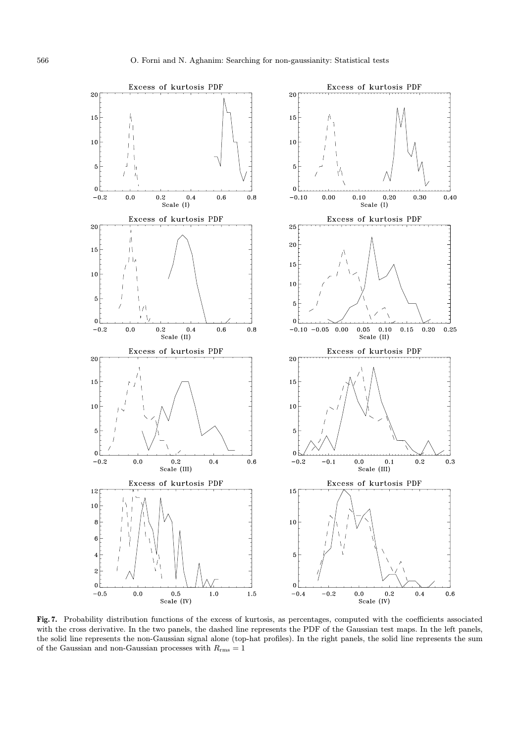

Fig. 7. Probability distribution functions of the excess of kurtosis, as percentages, computed with the coefficients associated with the cross derivative. In the two panels, the dashed line represents the PDF of the Gaussian test maps. In the left panels, the solid line represents the non-Gaussian signal alone (top-hat profiles). In the right panels, the solid line represents the sum of the Gaussian and non-Gaussian processes with  $R_{\rm rms}=1$